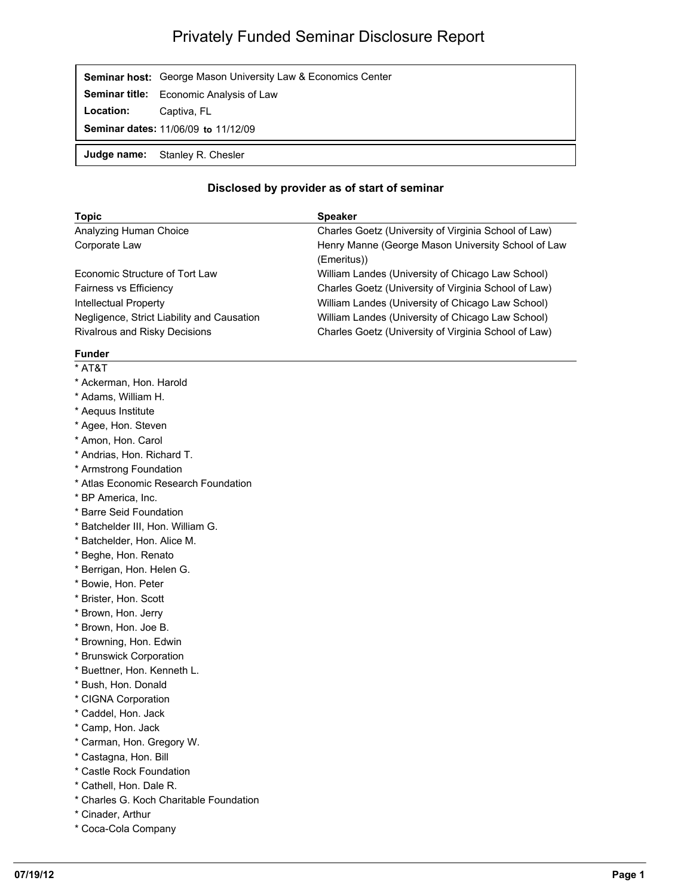## Privately Funded Seminar Disclosure Report

|                                     | <b>Seminar host:</b> George Mason University Law & Economics Center |
|-------------------------------------|---------------------------------------------------------------------|
|                                     | Seminar title: Economic Analysis of Law                             |
| <b>Location:</b>                    | Captiva, FL                                                         |
| Seminar dates: 11/06/09 to 11/12/09 |                                                                     |
|                                     | Judge name: Stanley R. Chesler                                      |

## **Disclosed by provider as of start of seminar**

| <b>Topic</b>                               | <b>Speaker</b>                                                    |  |
|--------------------------------------------|-------------------------------------------------------------------|--|
| Analyzing Human Choice                     | Charles Goetz (University of Virginia School of Law)              |  |
| Corporate Law                              | Henry Manne (George Mason University School of Law<br>(Emeritus)) |  |
| Economic Structure of Tort Law             | William Landes (University of Chicago Law School)                 |  |
| <b>Fairness vs Efficiency</b>              | Charles Goetz (University of Virginia School of Law)              |  |
| Intellectual Property                      | William Landes (University of Chicago Law School)                 |  |
| Negligence, Strict Liability and Causation | William Landes (University of Chicago Law School)                 |  |
| Rivalrous and Risky Decisions              | Charles Goetz (University of Virginia School of Law)              |  |

## **Funder**

- \* AT&T
- \* Ackerman, Hon. Harold
- \* Adams, William H.
- \* Aequus Institute
- \* Agee, Hon. Steven
- \* Amon, Hon. Carol
- \* Andrias, Hon. Richard T.
- \* Armstrong Foundation
- \* Atlas Economic Research Foundation
- \* BP America, Inc.
- \* Barre Seid Foundation
- \* Batchelder III, Hon. William G.
- \* Batchelder, Hon. Alice M.
- \* Beghe, Hon. Renato
- \* Berrigan, Hon. Helen G.
- \* Bowie, Hon. Peter
- \* Brister, Hon. Scott
- \* Brown, Hon. Jerry
- \* Brown, Hon. Joe B.
- \* Browning, Hon. Edwin
- \* Brunswick Corporation
- \* Buettner, Hon. Kenneth L.
- \* Bush, Hon. Donald
- \* CIGNA Corporation
- \* Caddel, Hon. Jack
- \* Camp, Hon. Jack
- \* Carman, Hon. Gregory W.
- \* Castagna, Hon. Bill
- \* Castle Rock Foundation
- \* Cathell, Hon. Dale R.
- \* Charles G. Koch Charitable Foundation
- \* Cinader, Arthur
- \* Coca-Cola Company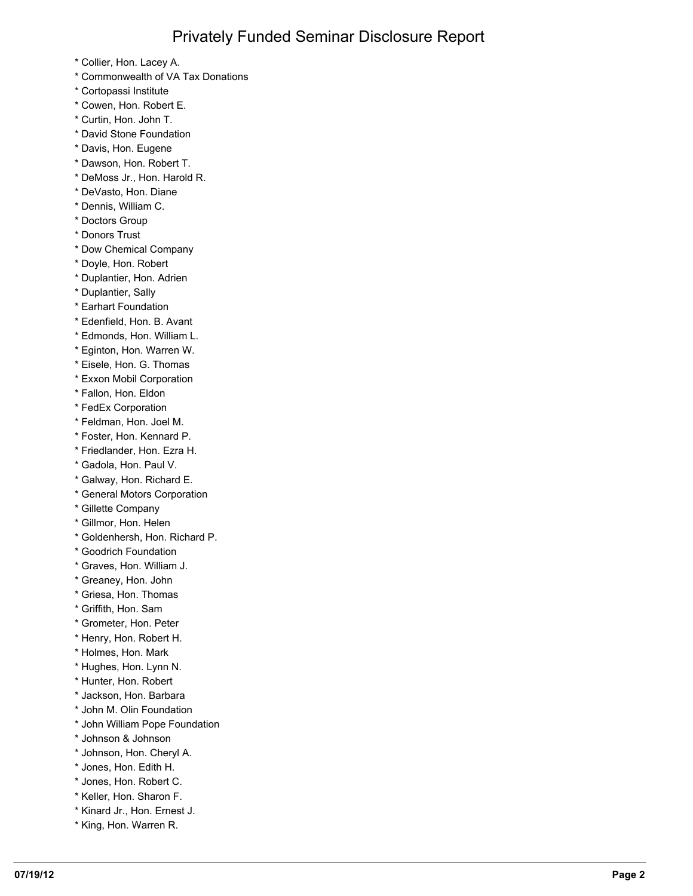- \* Collier, Hon. Lacey A.
- \* Commonwealth of VA Tax Donations
- \* Cortopassi Institute
- \* Cowen, Hon. Robert E.
- \* Curtin, Hon. John T.
- \* David Stone Foundation
- \* Davis, Hon. Eugene
- \* Dawson, Hon. Robert T.
- \* DeMoss Jr., Hon. Harold R.
- \* DeVasto, Hon. Diane
- \* Dennis, William C.
- \* Doctors Group
- \* Donors Trust
- \* Dow Chemical Company
- \* Doyle, Hon. Robert
- \* Duplantier, Hon. Adrien
- \* Duplantier, Sally
- \* Earhart Foundation
- \* Edenfield, Hon. B. Avant
- \* Edmonds, Hon. William L.
- \* Eginton, Hon. Warren W.
- \* Eisele, Hon. G. Thomas
- \* Exxon Mobil Corporation
- \* Fallon, Hon. Eldon
- \* FedEx Corporation
- \* Feldman, Hon. Joel M.
- \* Foster, Hon. Kennard P.
- \* Friedlander, Hon. Ezra H.
- \* Gadola, Hon. Paul V.
- \* Galway, Hon. Richard E.
- \* General Motors Corporation
- \* Gillette Company
- \* Gillmor, Hon. Helen
- \* Goldenhersh, Hon. Richard P.
- \* Goodrich Foundation
- \* Graves, Hon. William J.
- \* Greaney, Hon. John
- \* Griesa, Hon. Thomas
- \* Griffith, Hon. Sam
- \* Grometer, Hon. Peter
- \* Henry, Hon. Robert H.
- \* Holmes, Hon. Mark
- \* Hughes, Hon. Lynn N.
- \* Hunter, Hon. Robert
- \* Jackson, Hon. Barbara
- \* John M. Olin Foundation
- \* John William Pope Foundation
- \* Johnson & Johnson
- \* Johnson, Hon. Cheryl A.
- \* Jones, Hon. Edith H.
- \* Jones, Hon. Robert C.
- \* Keller, Hon. Sharon F.
- \* Kinard Jr., Hon. Ernest J.
- \* King, Hon. Warren R.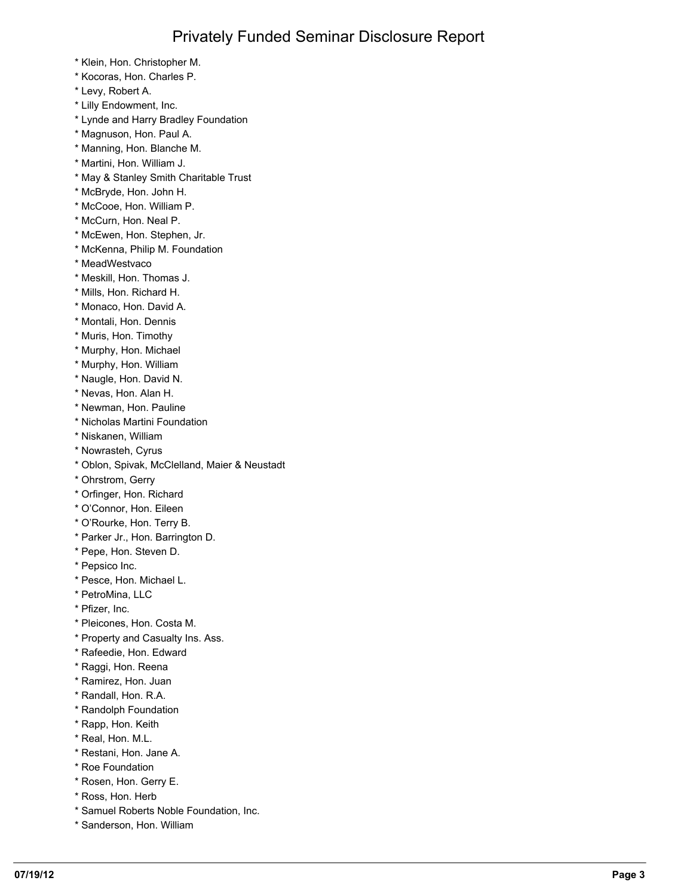- \* Klein, Hon. Christopher M.
- \* Kocoras, Hon. Charles P.
- \* Levy, Robert A.
- \* Lilly Endowment, Inc.
- \* Lynde and Harry Bradley Foundation
- \* Magnuson, Hon. Paul A.
- \* Manning, Hon. Blanche M.
- \* Martini, Hon. William J.
- \* May & Stanley Smith Charitable Trust
- \* McBryde, Hon. John H.
- \* McCooe, Hon. William P.
- \* McCurn, Hon. Neal P.
- \* McEwen, Hon. Stephen, Jr.
- \* McKenna, Philip M. Foundation
- \* MeadWestvaco
- \* Meskill, Hon. Thomas J.
- \* Mills, Hon. Richard H.
- \* Monaco, Hon. David A.
- \* Montali, Hon. Dennis
- \* Muris, Hon. Timothy
- \* Murphy, Hon. Michael
- \* Murphy, Hon. William
- \* Naugle, Hon. David N.
- \* Nevas, Hon. Alan H.
- \* Newman, Hon. Pauline
- \* Nicholas Martini Foundation
- \* Niskanen, William
- \* Nowrasteh, Cyrus
- \* Oblon, Spivak, McClelland, Maier & Neustadt
- \* Ohrstrom, Gerry
- \* Orfinger, Hon. Richard
- \* O'Connor, Hon. Eileen
- \* O'Rourke, Hon. Terry B.
- \* Parker Jr., Hon. Barrington D.
- \* Pepe, Hon. Steven D.
- \* Pepsico Inc.
- \* Pesce, Hon. Michael L.
- \* PetroMina, LLC
- \* Pfizer, Inc.
- \* Pleicones, Hon. Costa M.
- \* Property and Casualty Ins. Ass.
- \* Rafeedie, Hon. Edward
- \* Raggi, Hon. Reena
- \* Ramirez, Hon. Juan
- \* Randall, Hon. R.A.
- \* Randolph Foundation
- \* Rapp, Hon. Keith
- \* Real, Hon. M.L.
- \* Restani, Hon. Jane A.
- \* Roe Foundation
- \* Rosen, Hon. Gerry E.
- \* Ross, Hon. Herb
- \* Samuel Roberts Noble Foundation, Inc.
- \* Sanderson, Hon. William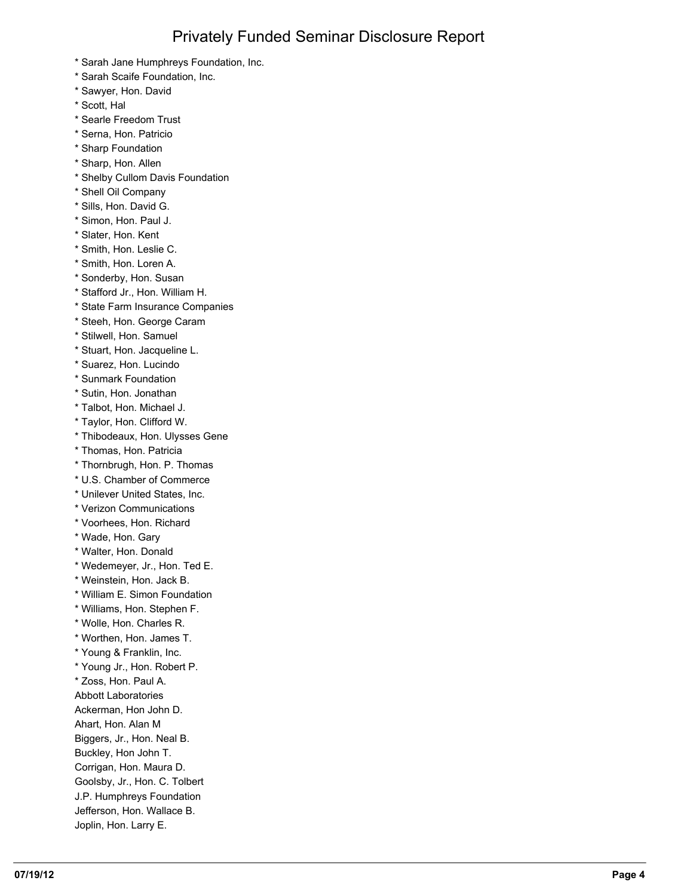- \* Sarah Jane Humphreys Foundation, Inc.
- \* Sarah Scaife Foundation, Inc.
- \* Sawyer, Hon. David
- \* Scott, Hal
- \* Searle Freedom Trust
- \* Serna, Hon. Patricio
- \* Sharp Foundation
- \* Sharp, Hon. Allen
- \* Shelby Cullom Davis Foundation
- \* Shell Oil Company
- \* Sills, Hon. David G.
- \* Simon, Hon. Paul J.
- \* Slater, Hon. Kent
- \* Smith, Hon. Leslie C.
- \* Smith, Hon. Loren A.
- \* Sonderby, Hon. Susan
- \* Stafford Jr., Hon. William H.
- \* State Farm Insurance Companies
- \* Steeh, Hon. George Caram
- \* Stilwell, Hon. Samuel
- \* Stuart, Hon. Jacqueline L.
- \* Suarez, Hon. Lucindo
- \* Sunmark Foundation
- \* Sutin, Hon. Jonathan
- \* Talbot, Hon. Michael J.
- \* Taylor, Hon. Clifford W.
- \* Thibodeaux, Hon. Ulysses Gene
- \* Thomas, Hon. Patricia
- \* Thornbrugh, Hon. P. Thomas
- \* U.S. Chamber of Commerce
- \* Unilever United States, Inc.
- \* Verizon Communications
- \* Voorhees, Hon. Richard
- \* Wade, Hon. Gary
- \* Walter, Hon. Donald
- \* Wedemeyer, Jr., Hon. Ted E.
- \* Weinstein, Hon. Jack B.
- \* William E. Simon Foundation
- \* Williams, Hon. Stephen F.
- \* Wolle, Hon. Charles R.
- \* Worthen, Hon. James T.
- \* Young & Franklin, Inc.
- \* Young Jr., Hon. Robert P.
- \* Zoss, Hon. Paul A.
- Abbott Laboratories
- Ackerman, Hon John D.
- Ahart, Hon. Alan M
- Biggers, Jr., Hon. Neal B.
- Buckley, Hon John T.
- Corrigan, Hon. Maura D.
- Goolsby, Jr., Hon. C. Tolbert
- J.P. Humphreys Foundation
- Jefferson, Hon. Wallace B. Joplin, Hon. Larry E.